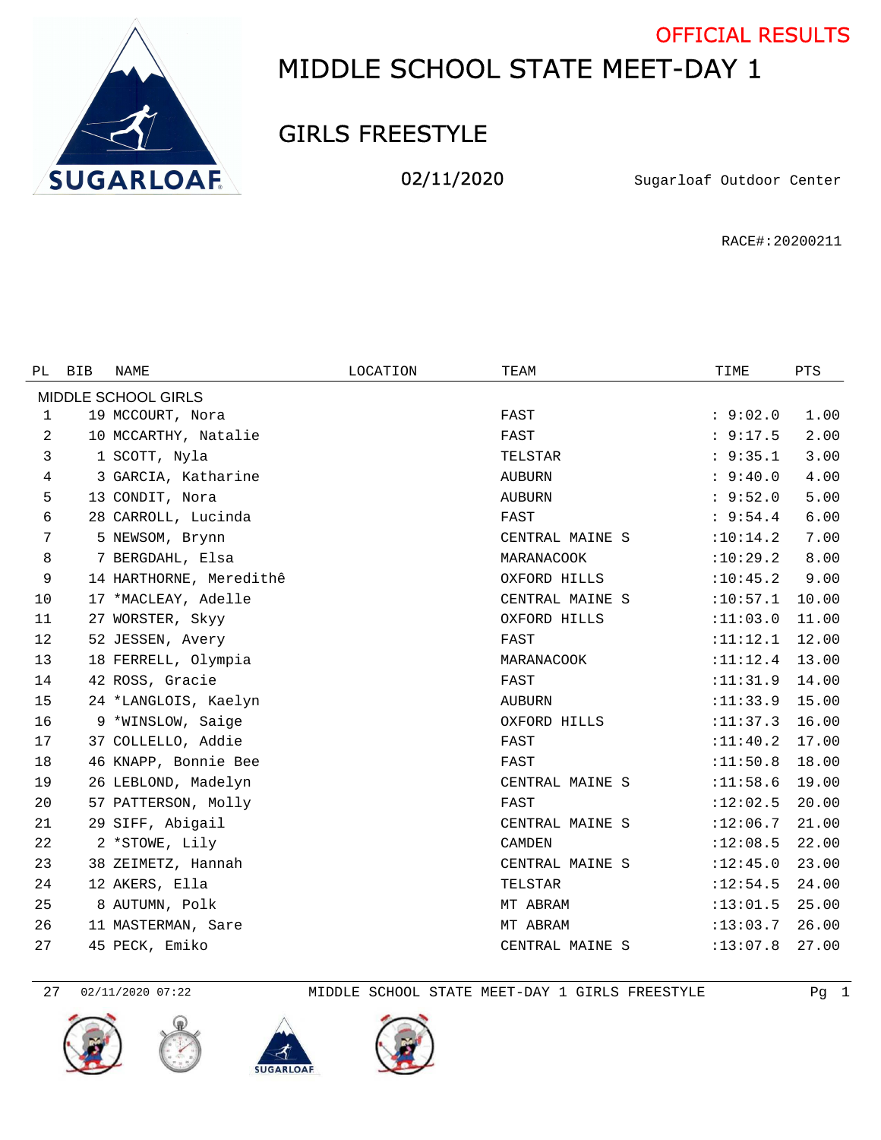

## MIDDLE SCHOOL STATE MEET-DAY 1 OFFICIAL RESULTS

## GIRLS FREESTYLE

02/11/2020 Sugarloaf Outdoor Center

RACE#:20200211

| PL                  | <b>BIB</b> | NAME                    | LOCATION | TEAM            | TIME       | PTS   |  |  |  |  |  |
|---------------------|------------|-------------------------|----------|-----------------|------------|-------|--|--|--|--|--|
| MIDDLE SCHOOL GIRLS |            |                         |          |                 |            |       |  |  |  |  |  |
| 1                   |            | 19 MCCOURT, Nora        |          | FAST            | : 9:02.0   | 1.00  |  |  |  |  |  |
| 2                   |            | 10 MCCARTHY, Natalie    |          | FAST            | : 9:17.5   | 2.00  |  |  |  |  |  |
| 3                   |            | 1 SCOTT, Nyla           |          | TELSTAR         | : 9:35.1   | 3.00  |  |  |  |  |  |
| 4                   |            | 3 GARCIA, Katharine     |          | AUBURN          | : 9:40.0   | 4.00  |  |  |  |  |  |
| 5                   |            | 13 CONDIT, Nora         |          | <b>AUBURN</b>   | : 9:52.0   | 5.00  |  |  |  |  |  |
| 6                   |            | 28 CARROLL, Lucinda     |          | FAST            | : 9:54.4   | 6.00  |  |  |  |  |  |
| 7                   |            | 5 NEWSOM, Brynn         |          | CENTRAL MAINE S | :10:14.2   | 7.00  |  |  |  |  |  |
| 8                   |            | 7 BERGDAHL, Elsa        |          | MARANACOOK      | :10:29.2   | 8.00  |  |  |  |  |  |
| 9                   |            | 14 HARTHORNE, Meredithê |          | OXFORD HILLS    | :10:45.2   | 9.00  |  |  |  |  |  |
| 10                  |            | 17 *MACLEAY, Adelle     |          | CENTRAL MAINE S | :10:57.1   | 10.00 |  |  |  |  |  |
| 11                  |            | 27 WORSTER, Skyy        |          | OXFORD HILLS    | :11:03.0   | 11.00 |  |  |  |  |  |
| 12                  |            | 52 JESSEN, Avery        |          | FAST            | :11:12.1   | 12.00 |  |  |  |  |  |
| 13                  |            | 18 FERRELL, Olympia     |          | MARANACOOK      | : 11: 12.4 | 13.00 |  |  |  |  |  |
| 14                  |            | 42 ROSS, Gracie         |          | FAST            | :11:31.9   | 14.00 |  |  |  |  |  |
| 15                  |            | 24 *LANGLOIS, Kaelyn    |          | <b>AUBURN</b>   | :11:33.9   | 15.00 |  |  |  |  |  |
| 16                  |            | 9 *WINSLOW, Saige       |          | OXFORD HILLS    | :11:37.3   | 16.00 |  |  |  |  |  |
| 17                  |            | 37 COLLELLO, Addie      |          | FAST            | : 11: 40.2 | 17.00 |  |  |  |  |  |
| 18                  |            | 46 KNAPP, Bonnie Bee    |          | FAST            | :11:50.8   | 18.00 |  |  |  |  |  |
| 19                  |            | 26 LEBLOND, Madelyn     |          | CENTRAL MAINE S | :11:58.6   | 19.00 |  |  |  |  |  |
| 20                  |            | 57 PATTERSON, Molly     |          | FAST            | :12:02.5   | 20.00 |  |  |  |  |  |
| 21                  |            | 29 SIFF, Abigail        |          | CENTRAL MAINE S | :12:06.7   | 21.00 |  |  |  |  |  |
| 22                  |            | 2 *STOWE, Lily          |          | <b>CAMDEN</b>   | :12:08.5   | 22.00 |  |  |  |  |  |
| 23                  |            | 38 ZEIMETZ, Hannah      |          | CENTRAL MAINE S | :12:45.0   | 23.00 |  |  |  |  |  |
| 24                  |            | 12 AKERS, Ella          |          | TELSTAR         | :12:54.5   | 24.00 |  |  |  |  |  |
| 25                  |            | 8 AUTUMN, Polk          |          | MT ABRAM        | :13:01.5   | 25.00 |  |  |  |  |  |
| 26                  |            | 11 MASTERMAN, Sare      |          | MT ABRAM        | :13:03.7   | 26.00 |  |  |  |  |  |
| 27                  |            | 45 PECK, Emiko          |          | CENTRAL MAINE S | :13:07.8   | 27.00 |  |  |  |  |  |









02/11/2020 07:22 MIDDLE SCHOOL STATE MEET-DAY 1 GIRLS FREESTYLE Pg 1